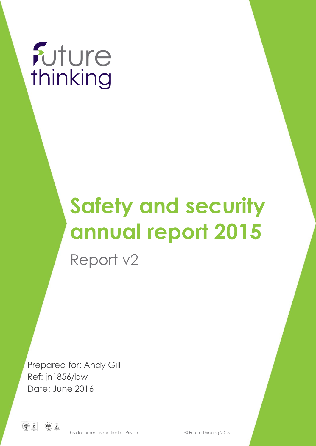

# **Safety and security annual report 2015**

Report v2

Prepared for: Andy Gill Ref: jn1856/bw Date: June 2016

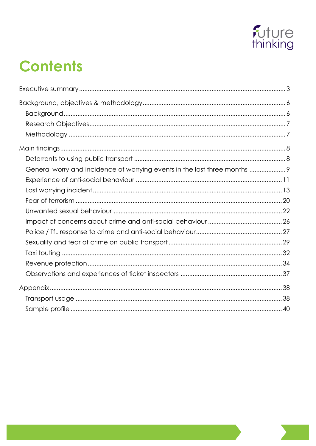

## **Contents**

| General worry and incidence of worrying events in the last three months  9 |  |
|----------------------------------------------------------------------------|--|
|                                                                            |  |
|                                                                            |  |
|                                                                            |  |
|                                                                            |  |
|                                                                            |  |
|                                                                            |  |
|                                                                            |  |
|                                                                            |  |
|                                                                            |  |
|                                                                            |  |
|                                                                            |  |
|                                                                            |  |
|                                                                            |  |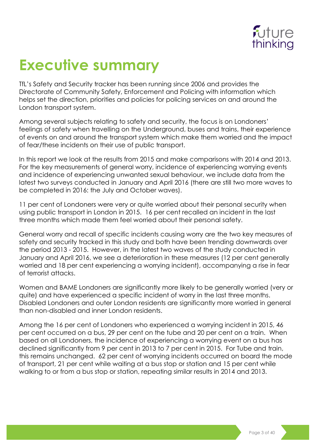

## <span id="page-2-0"></span>**Executive summary**

TfL's Safety and Security tracker has been running since 2006 and provides the Directorate of Community Safety, Enforcement and Policing with information which helps set the direction, priorities and policies for policing services on and around the London transport system.

Among several subjects relating to safety and security, the focus is on Londoners' feelings of safety when travelling on the Underground, buses and trains, their experience of events on and around the transport system which make them worried and the impact of fear/these incidents on their use of public transport.

In this report we look at the results from 2015 and make comparisons with 2014 and 2013. For the key measurements of general worry, incidence of experiencing worrying events and incidence of experiencing unwanted sexual behaviour, we include data from the latest two surveys conducted in January and April 2016 (there are still two more waves to be completed in 2016: the July and October waves).

11 per cent of Londoners were very or quite worried about their personal security when using public transport in London in 2015. 16 per cent recalled an incident in the last three months which made them feel worried about their personal safety.

General worry and recall of specific incidents causing worry are the two key measures of safety and security tracked in this study and both have been trending downwards over the period 2013 - 2015. However, in the latest two waves of the study conducted in January and April 2016, we see a deterioration in these measures (12 per cent generally worried and 18 per cent experiencing a worrying incident), accompanying a rise in fear of terrorist attacks.

Women and BAME Londoners are significantly more likely to be generally worried (very or quite) and have experienced a specific incident of worry in the last three months. Disabled Londoners and outer London residents are significantly more worried in general than non-disabled and inner London residents.

Among the 16 per cent of Londoners who experienced a worrying incident in 2015, 46 per cent occurred on a bus, 29 per cent on the tube and 20 per cent on a train. When based on all Londoners, the incidence of experiencing a worrying event on a bus has declined significantly from 9 per cent in 2013 to 7 per cent in 2015. For Tube and train, this remains unchanged. 62 per cent of worrying incidents occurred on board the mode of transport, 21 per cent while waiting at a bus stop or station and 15 per cent while walking to or from a bus stop or station, repeating similar results in 2014 and 2013.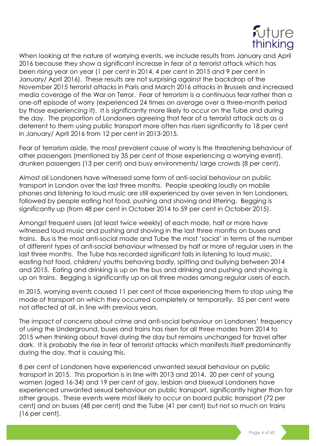

When looking at the nature of worrying events, we include results from January and April 2016 because they show a significant increase in fear of a terrorist attack which has been rising year on year (1 per cent in 2014, 4 per cent in 2015 and 9 per cent in January/ April 2016). These results are not surprising against the backdrop of the November 2015 terrorist attacks in Paris and March 2016 attacks in Brussels and increased media coverage of the War on Terror. Fear of terrorism is a continuous fear rather than a one-off episode of worry (experienced 24 times on average over a three-month period by those experiencing it). It is significantly more likely to occur on the Tube and during the day. The proportion of Londoners agreeing that fear of a terrorist attack acts as a deterrent to them using public transport more often has risen significantly to 18 per cent in January/ April 2016 from 12 per cent in 2013-2015.

Fear of terrorism aside, the most prevalent cause of worry is the threatening behaviour of other passengers (mentioned by 35 per cent of those experiencing a worrying event), drunken passengers (13 per cent) and busy environments/ large crowds (8 per cent).

Almost all Londoners have witnessed some form of anti-social behaviour on public transport in London over the last three months. People speaking loudly on mobile phones and listening to loud music are still experienced by over seven in ten Londoners, followed by people eating hot food, pushing and shoving and littering. Begging is significantly up (from 48 per cent in October 2014 to 59 per cent in October 2015).

Amongst frequent users (at least twice weekly) of each mode, half or more have witnessed loud music and pushing and shoving in the last three months on buses and trains. Bus is the most anti-social mode and Tube the most 'social' in terms of the number of different types of anti-social behaviour witnessed by half or more of regular users in the last three months. The Tube has recorded significant falls in listening to loud music, easting hot food, children/ youths behaving badly, spitting and bullying between 2014 and 2015. Eating and drinking is up on the bus and drinking and pushing and shoving is up on trains. Begging is significantly up on all three modes among regular users of each.

In 2015, worrying events caused 11 per cent of those experiencing them to stop using the mode of transport on which they occurred completely or temporarily. 55 per cent were not affected at all, in line with previous years.

The impact of concerns about crime and anti-social behaviour on Londoners' frequency of using the Underground, buses and trains has risen for all three modes from 2014 to 2015 when thinking about travel during the day but remains unchanged for travel after dark. It is probably the rise in fear of terrorist attacks which manifests itself predominantly during the day, that is causing this.

8 per cent of Londoners have experienced unwanted sexual behaviour on public transport in 2015. This proportion is in line with 2013 and 2014. 20 per cent of young women (aged 16-34) and 19 per cent of gay, lesbian and bisexual Londoners have experienced unwanted sexual behaviour on public transport, significantly higher than for other groups. These events were most likely to occur on board public transport (72 per cent) and on buses (48 per cent) and the Tube (41 per cent) but not so much on trains (16 per cent).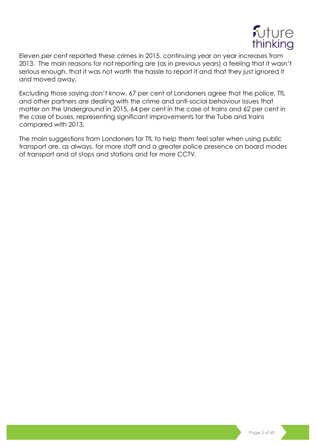

Eleven per cent reported these crimes in 2015, continuing year on year increases from 2013. The main reasons for not reporting are (as in previous years) a feeling that it wasn't serious enough, that it was not worth the hassle to report it and that they just ignored it and moved away.

Excluding those saying don't know, 67 per cent of Londoners agree that the police, TfL and other partners are dealing with the crime and anti-social behaviour issues that matter on the Underground in 2015, 64 per cent in the case of trains and 62 per cent in the case of buses, representing significant improvements for the Tube and trains compared with 2013.

The main suggestions from Londoners for TfL to help them feel safer when using public transport are, as always, for more staff and a greater police presence on board modes of transport and at stops and stations and for more CCTV.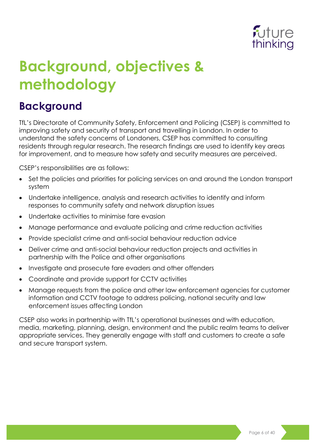

## <span id="page-5-0"></span>**Background, objectives & methodology**

### <span id="page-5-1"></span>**Background**

TfL's Directorate of Community Safety, Enforcement and Policing (CSEP) is committed to improving safety and security of transport and travelling in London. In order to understand the safety concerns of Londoners, CSEP has committed to consulting residents through regular research. The research findings are used to identify key areas for improvement, and to measure how safety and security measures are perceived.

CSEP's responsibilities are as follows:

- Set the policies and priorities for policing services on and around the London transport system
- Undertake intelligence, analysis and research activities to identify and inform responses to community safety and network disruption issues
- Undertake activities to minimise fare evasion
- Manage performance and evaluate policing and crime reduction activities
- Provide specialist crime and anti-social behaviour reduction advice
- Deliver crime and anti-social behaviour reduction projects and activities in partnership with the Police and other organisations
- Investigate and prosecute fare evaders and other offenders
- Coordinate and provide support for CCTV activities
- Manage requests from the police and other law enforcement agencies for customer information and CCTV footage to address policing, national security and law enforcement issues affecting London

CSEP also works in partnership with TfL's operational businesses and with education, media, marketing, planning, design, environment and the public realm teams to deliver appropriate services. They generally engage with staff and customers to create a safe and secure transport system.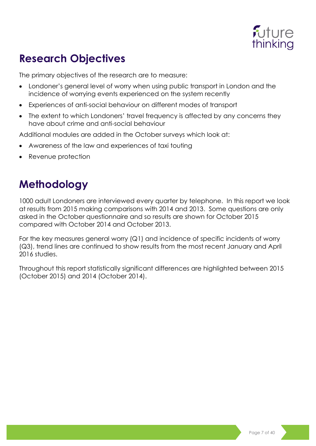

### <span id="page-6-0"></span>**Research Objectives**

The primary objectives of the research are to measure:

- Londoner's general level of worry when using public transport in London and the incidence of worrying events experienced on the system recently
- Experiences of anti-social behaviour on different modes of transport
- The extent to which Londoners' travel frequency is affected by any concerns they have about crime and anti-social behaviour

Additional modules are added in the October surveys which look at:

- Awareness of the law and experiences of taxi touting
- Revenue protection

### <span id="page-6-1"></span>**Methodology**

1000 adult Londoners are interviewed every quarter by telephone. In this report we look at results from 2015 making comparisons with 2014 and 2013. Some questions are only asked in the October questionnaire and so results are shown for October 2015 compared with October 2014 and October 2013.

For the key measures general worry (Q1) and incidence of specific incidents of worry (Q3), trend lines are continued to show results from the most recent January and April 2016 studies.

Throughout this report statistically significant differences are highlighted between 2015 (October 2015) and 2014 (October 2014).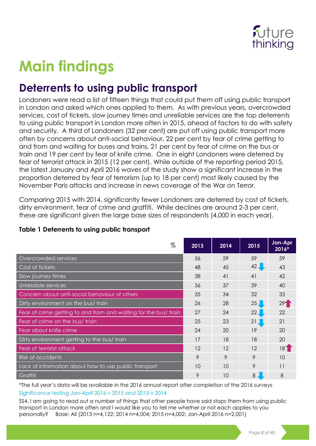

## <span id="page-7-0"></span>**Main findings**

### <span id="page-7-1"></span>**Deterrents to using public transport**

Londoners were read a list of fifteen things that could put them off using public transport in London and asked which ones applied to them. As with previous years, overcrowded services, cost of tickets, slow journey times and unreliable services are the top deterrents to using public transport in London more often in 2015, ahead of factors to do with safety and security. A third of Londoners (32 per cent) are put off using public transport more often by concerns about anti-social behaviour, 22 per cent by fear of crime getting to and from and waiting for buses and trains, 21 per cent by fear of crime on the bus or train and 19 per cent by fear of knife crime. One in eight Londoners were deterred by fear of terrorist attack in 2015 (12 per cent). While outside of the reporting period 2015, the latest January and April 2016 waves of the study show a significant increase in the proportion deterred by fear of terrorism (up to 18 per cent) most likely caused by the November Paris attacks and increase in news coverage of the War on Terror.

Comparing 2015 with 2014, significantly fewer Londoners are deterred by cost of tickets, dirty environment, fear of crime and graffiti. While declines are around 2-3 per cent, these are significant given the large base sizes of respondents (4,000 in each year).

| $\%$                                                             | 2013 | 2014 | 2015            | Jan-Apr<br>$2016*$ |
|------------------------------------------------------------------|------|------|-----------------|--------------------|
| Overcrowded services                                             | 56   | 59   | 59              | 59                 |
| Cost of tickets                                                  | 48   | 45   | $42 \downarrow$ | 43                 |
| Slow journey times                                               | 38   | 41   | 41              | 42                 |
| Unrelaible services                                              | 36   | 37   | 39              | 40                 |
| Concern about anti-social behaviour of others                    | 35   | 34   | 32              | 33                 |
| Dirty environment on the bus/ train                              | 26   | 28   | 25 <sub>1</sub> | 29 <sup>1</sup>    |
| Fear of crime getting to and from and waiting for the bus/ train | 27   | 24   | 22              | 22                 |
| Fear of crime on the bus/ train                                  | 25   | 23   | 21              | 21                 |
| Fear about knife crime                                           | 24   | 20   | 19              | 20                 |
| Dirty environment getting to the bus/ train                      | 17   | 18   | 18              | 20                 |
| Fear of terrorist attack                                         | 12   | 12   | 12              | 181                |
| Risk of accidents                                                | 9    | 9    | 9               | 10                 |
| Lack of information about how to use public transport            | 10   | 10   | 9               | 11                 |
| Graffiti                                                         | 9    | 10   | 8               | 8                  |

#### **Table 1 Deterrents to using public transport**

\*The full year's data will be available in the 2016 annual report after completion of the 2016 surveys Significance testing Jan-April 2016 v 2015 and 2015 v 2014

SS4. I am going to read out a number of things that other people have said stops them from using public transport in London more often and I would like you to tell me whether or not each applies to you personally? Base: All (2013 n=4,122; 2014 n=4,004; 2015 n=4,002; Jan-April 2016 n=2,001)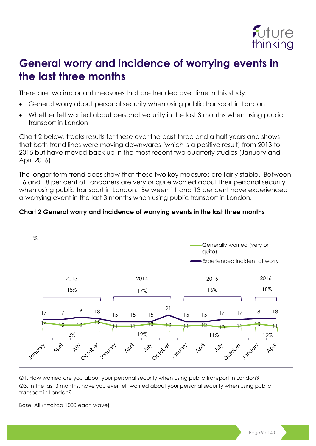

### <span id="page-8-0"></span>**General worry and incidence of worrying events in the last three months**

There are two important measures that are trended over time in this study:

- General worry about personal security when using public transport in London
- Whether felt worried about personal security in the last 3 months when using public transport in London

Chart 2 below, tracks results for these over the past three and a half years and shows that both trend lines were moving downwards (which is a positive result) from 2013 to 2015 but have moved back up in the most recent two quarterly studies (January and April 2016).

The longer term trend does show that these two key measures are fairly stable. Between 16 and 18 per cent of Londoners are very or quite worried about their personal security when using public transport in London. Between 11 and 13 per cent have experienced a worrying event in the last 3 months when using public transport in London.



#### **Chart 2 General worry and incidence of worrying events in the last three months**

Q1. How worried are you about your personal security when using public transport in London? Q3. In the last 3 months, have you ever felt worried about your personal security when using public transport in London?

Base: All (n=circa 1000 each wave)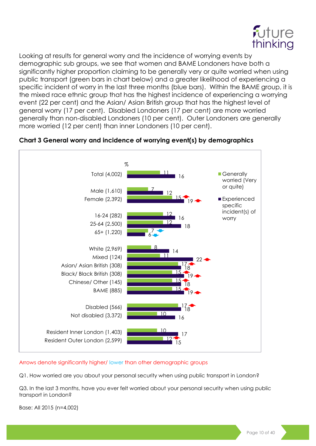

Looking at results for general worry and the incidence of worrying events by demographic sub groups, we see that women and BAME Londoners have both a significantly higher proportion claiming to be generally very or quite worried when using public transport (green bars in chart below) and a greater likelihood of experiencing a specific incident of worry in the last three months (blue bars). Within the BAME group, it is the mixed race ethnic group that has the highest incidence of experiencing a worrying event (22 per cent) and the Asian/ Asian British group that has the highest level of general worry (17 per cent). Disabled Londoners (17 per cent) are more worried generally than non-disabled Londoners (10 per cent). Outer Londoners are generally more worried (12 per cent) than inner Londoners (10 per cent).



#### **Chart 3 General worry and incidence of worrying event(s) by demographics**

Arrows denote significantly higher/ lower than other demographic groups

Q1. How worried are you about your personal security when using public transport in London?

Q3. In the last 3 months, have you ever felt worried about your personal security when using public transport in London?

Base: All 2015 (n=4,002)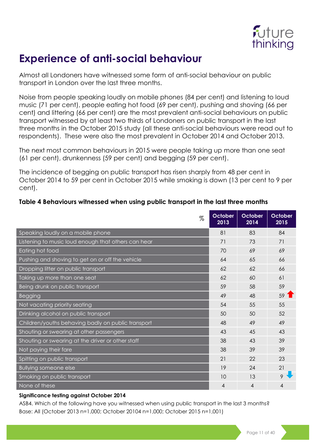

### <span id="page-10-0"></span>**Experience of anti-social behaviour**

Almost all Londoners have witnessed some form of anti-social behaviour on public transport in London over the last three months.

Noise from people speaking loudly on mobile phones (84 per cent) and listening to loud music (71 per cent), people eating hot food (69 per cent), pushing and shoving (66 per cent) and littering (66 per cent) are the most prevalent anti-social behaviours on public transport witnessed by at least two thirds of Londoners on public transport in the last three months in the October 2015 study (all these anti-social behaviours were read out to respondents). These were also the most prevalent in October 2014 and October 2013.

The next most common behaviours in 2015 were people taking up more than one seat (61 per cent), drunkenness (59 per cent) and begging (59 per cent).

The incidence of begging on public transport has risen sharply from 48 per cent in October 2014 to 59 per cent in October 2015 while smoking is down (13 per cent to 9 per cent).

| %                                                   | October<br>2013 | October<br>2014 | October<br>2015 |
|-----------------------------------------------------|-----------------|-----------------|-----------------|
| Speaking loudly on a mobile phone                   | 81              | 83              | 84              |
| Listening to music loud enough that others can hear | 71              | 73              | 71              |
| Eating hot food                                     | 70              | 69              | 69              |
| Pushing and shoving to get on or off the vehicle    | 64              | 65              | 66              |
| Dropping litter on public transport                 | 62              | 62              | 66              |
| Taking up more than one seat                        | 62              | 60              | 61              |
| Being drunk on public transport                     | 59              | 58              | 59              |
| Begging                                             | 49              | 48              | $59$ 1          |
| Not vacating priority seating                       | 54              | 55              | 55              |
| Drinking alcohol on public transport                | 50              | 50              | 52              |
| Children/youths behaving badly on public transport  | 48              | 49              | 49              |
| Shouting or swearing at other passengers            | 43              | 45              | 43              |
| Shouting or swearing at the driver or other staff   | 38              | 43              | 39              |
| Not paying their fare                               | 38              | 39              | 39              |
| Spitting on public transport                        | 21              | 22              | 23              |
| <b>Bullying someone else</b>                        | 19              | 24              | 21              |
| Smoking on public transport                         | 10              | 13              |                 |
| None of these                                       | 4               | 4               | 4               |

#### **Table 4 Behaviours witnessed when using public transport in the last three months**

#### **Significance testing against October 2014**

ASB4. Which of the following have you witnessed when using public transport in the last 3 months? Base: All (October 2013 n=1,000; October 20104 n=1,000; October 2015 n=1,001)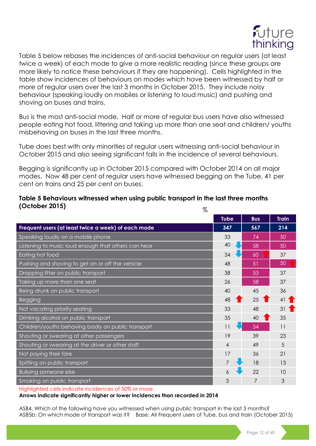

Table 5 below rebases the incidences of anti-social behaviour on regular users (at least twice a week) of each mode to give a more realistic reading (since these groups are more likely to notice these behaviours if they are happening). Cells highlighted in the table show incidences of behaviours on modes which have been witnessed by half or more of regular users over the last 3 months in October 2015. They include noisy behaviour (speaking loudly on mobiles or listening to loud music) and pushing and shoving on buses and trains.

Bus is the most anti-social mode. Half or more of regular bus users have also witnessed people eating hot food, littering and taking up more than one seat and children/ youths misbehaving on buses in the last three months.

Tube does best with only minorities of regular users witnessing anti-social behaviour in October 2015 and also seeing significant falls in the incidence of several behaviours.

Begging is significantly up in October 2015 compared with October 2014 on all major modes. Now 48 per cent of regular users have witnessed begging on the Tube, 41 per cent on trains and 25 per cent on buses.

#### **Table 5 Behaviours witnessed when using public transport in the last three months (October 2015)**  $\sigma$

| 70                                                  |                |                      |              |
|-----------------------------------------------------|----------------|----------------------|--------------|
|                                                     | <b>Tube</b>    | <b>Bus</b>           | <b>Train</b> |
| Frequent users (at least twice a week) of each mode | 347            | 567                  | 214          |
| Speaking loudly on a mobile phone                   | 33             | 74                   | 50           |
| Listening to music loud enough that others can hear | 40             | 58                   | 50           |
| Eating hot food                                     | 34             | 60                   | 37           |
| Pushing and shoving to get on or off the vehicle    | 48             | 51                   | 50           |
| Dropping litter on public transport                 | 38             | 53                   | 37           |
| Taking up more than one seat                        | 26             | 58                   | 37           |
| Being drunk on public transport                     | 40             | 45                   | 36           |
| <b>Begging</b>                                      | 48             | 25<br>$\blacksquare$ | 41           |
| Not vacating priority seating                       | 33             | 48                   | 31           |
| Drinking alcohol on public transport                | 35             | 40                   | 35           |
| Children/youths behaving badly on public transport  | 11             | 54                   | 11           |
| Shouting or swearing at other passengers            | 19             | 39                   | 23           |
| Shouting or swearing at the driver or other staff   | $\overline{4}$ | 49                   | 5            |
| Not paying their fare                               | 17             | 36                   | 21           |
| Spitting on public transport                        |                | 18                   | 13           |
| <b>Bullying someone else</b>                        | 6              | 22                   | 10           |
| Smoking on public transport                         | 3              | 7                    | 3            |
|                                                     |                |                      |              |

Highlighted cells indicate incidences of 50% or more

**Arrows indicate significantly higher or lower incidences than recorded in 2014**

ASB4. Which of the following have you witnessed when using public transport in the last 3 months? ASB5b: On which mode of transport was it? Base: All Frequent users of Tube, bus and train (October 2015)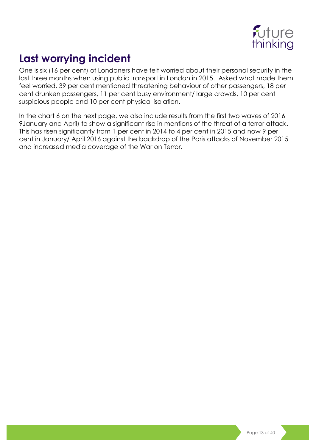

### <span id="page-12-0"></span>**Last worrying incident**

One is six (16 per cent) of Londoners have felt worried about their personal security in the last three months when using public transport in London in 2015. Asked what made them feel worried, 39 per cent mentioned threatening behaviour of other passengers, 18 per cent drunken passengers, 11 per cent busy environment/ large crowds, 10 per cent suspicious people and 10 per cent physical isolation.

In the chart 6 on the next page, we also include results from the first two waves of 2016 9January and April) to show a significant rise in mentions of the threat of a terror attack. This has risen significantly from 1 per cent in 2014 to 4 per cent in 2015 and now 9 per cent in January/ April 2016 against the backdrop of the Paris attacks of November 2015 and increased media coverage of the War on Terror.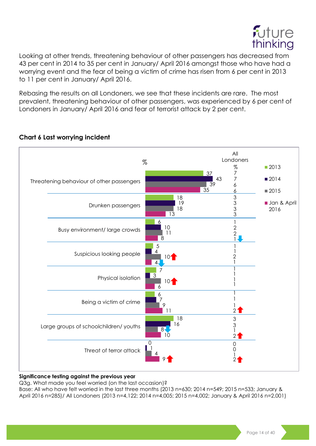

Looking at other trends, threatening behaviour of other passengers has decreased from 43 per cent in 2014 to 35 per cent in January/ April 2016 amongst those who have had a worrying event and the fear of being a victim of crime has risen from 6 per cent in 2013 to 11 per cent in January/ April 2016.

Rebasing the results on all Londoners, we see that these incidents are rare. The most prevalent, threatening behaviour of other passengers, was experienced by 6 per cent of Londoners in January/ April 2016 and fear of terrorist attack by 2 per cent.



#### **Chart 6 Last worrying incident**

#### **Significance testing against the previous year**

Q3g. What made you feel worried (on the last occasion)?

Base: All who have felt worried in the last three months (2013 n=630; 2014 n=549; 2015 n=533; January & April 2016 n=285)/ All Londoners (2013 n=4,122; 2014 n=4,005; 2015 n=4,002; January & April 2016 n=2,001)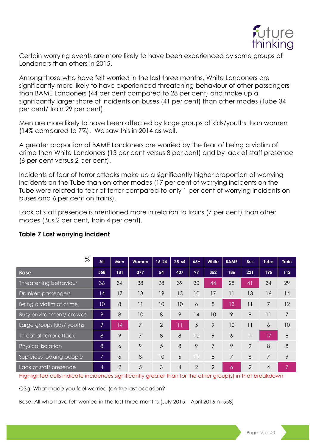

Certain worrying events are more likely to have been experienced by some groups of Londoners than others in 2015.

Among those who have felt worried in the last three months, White Londoners are significantly more likely to have experienced threatening behaviour of other passengers than BAME Londoners (44 per cent compared to 28 per cent) and make up a significantly larger share of incidents on buses (41 per cent) than other modes (Tube 34 per cent/ train 29 per cent).

Men are more likely to have been affected by large groups of kids/youths than women (14% compared to 7%). We saw this in 2014 as well.

A greater proportion of BAME Londoners are worried by the fear of being a victim of crime than White Londoners (13 per cent versus 8 per cent) and by lack of staff presence (6 per cent versus 2 per cent).

Incidents of fear of terror attacks make up a significantly higher proportion of worrying incidents on the Tube than on other modes (17 per cent of worrying incidents on the Tube were related to fear of terror compared to only 1 per cent of worrying incidents on buses and 6 per cent on trains).

Lack of staff presence is mentioned more in relation to trains (7 per cent) than other modes (Bus 2 per cent, train 4 per cent).

| %                        | All | Men            | <b>Women</b> | $16 - 24$      | $25 - 64$      | $65+$ | White | <b>BAME</b>     | <b>Bus</b>     | <b>Tube</b>    | <b>Train</b> |
|--------------------------|-----|----------------|--------------|----------------|----------------|-------|-------|-----------------|----------------|----------------|--------------|
| <b>Base</b>              | 558 | 181            | 377          | 54             | 407            | 97    | 352   | 186             | 221            | 195            | 112          |
| Threatening behaviour    | 36  | 34             | 38           | 28             | 39             | 30    | 44    | 28              | 41             | 34             | 29           |
| Drunken passengers       | 14  | 17             | 13           | 19             | 13             | 10    | 17    | 11              | 13             | 16             | 14           |
| Being a victim of crime  | 10  | 8              | 11           | 10             | 10             | 6     | 8     | 13              | 11             | 7              | 12           |
| Busy environment/ crowds | 9   | 8              | 10           | 8              | 9              | 14    | 10    | 9               | 9              | 11             | 7            |
| Large groups kids/youths | 9   | 14             | 7            | $\overline{2}$ | ו ו            | 5     | 9     | 10              | 11             | 6              | 10           |
| Threat of terror attack  | 8   | 9              | 7            | 8              | 8              | 10    | 9     | 6               |                | 17             | 6            |
| Physical isolation       | 8   | 6              | 9            | 5              | 8              | 9     | 7     | 9               | 9              | 8              | 8            |
| Supicious looking people | 7   | 6              | 8            | 10             | 6              | 11    | 8     | 7               | 6              | 7              | 9            |
| Lack of staff presence   | 4   | $\overline{2}$ | 5            | 3              | $\overline{4}$ | 2     | 2     | $\ddot{\delta}$ | $\overline{2}$ | $\overline{4}$ | 7            |

#### **Table 7 Last worrying incident**

Highlighted cells indicate incidences significantly greater than for the other group(s) in that breakdown

Q3g. What made you feel worried (on the last occasion?

Base: All who have felt worried in the last three months (July 2015 – April 2016 n=558)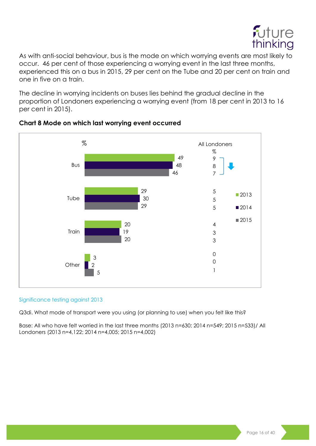

As with anti-social behaviour, bus is the mode on which worrying events are most likely to occur. 46 per cent of those experiencing a worrying event in the last three months, experienced this on a bus in 2015, 29 per cent on the Tube and 20 per cent on train and one in five on a train.

The decline in worrying incidents on buses lies behind the gradual decline in the proportion of Londoners experiencing a worrying event (from 18 per cent in 2013 to 16 per cent in 2015).



#### **Chart 8 Mode on which last worrying event occurred**

#### Significance testing against 2013

Q3di. What mode of transport were you using (or planning to use) when you felt like this?

Base: All who have felt worried in the last three months (2013 n=630; 2014 n=549; 2015 n=533)/ All Londoners (2013 n=4,122; 2014 n=4,005; 2015 n=4,002)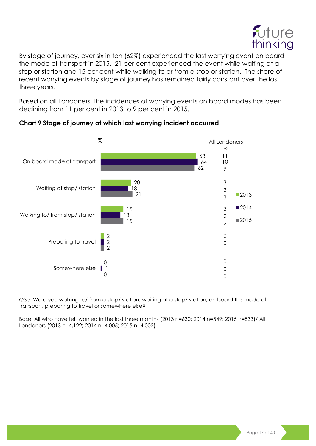

By stage of journey, over six in ten (62%) experienced the last worrying event on board the mode of transport in 2015. 21 per cent experienced the event while waiting at a stop or station and 15 per cent while walking to or from a stop or station. The share of recent worrying events by stage of journey has remained fairly constant over the last three years.

Based on all Londoners, the incidences of worrying events on board modes has been declining from 11 per cent in 2013 to 9 per cent in 2015.



#### **Chart 9 Stage of journey at which last worrying incident occurred**

Q3e. Were you walking to/ from a stop/ station, waiting at a stop/ station, on board this mode of transport, preparing to travel or somewhere else?

Base: All who have felt worried in the last three months (2013 n=630; 2014 n=549; 2015 n=533)/ All Londoners (2013 n=4,122; 2014 n=4,005; 2015 n=4,002)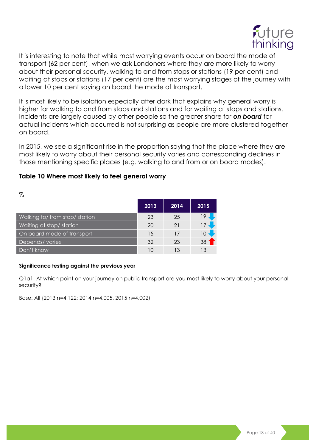

It is interesting to note that while most worrying events occur on board the mode of transport (62 per cent), when we ask Londoners where they are more likely to worry about their personal security, walking to and from stops or stations (19 per cent) and waiting at stops or stations (17 per cent) are the most worrying stages of the journey with a lower 10 per cent saying on board the mode of transport.

It is most likely to be isolation especially after dark that explains why general worry is higher for walking to and from stops and stations and for waiting at stops and stations. Incidents are largely caused by other people so the greater share for *on board* for actual incidents which occurred is not surprising as people are more clustered together on board.

In 2015, we see a significant rise in the proportion saying that the place where they are most likely to worry about their personal security varies and corresponding declines in those mentioning specific places (e.g. walking to and from or on board modes).

#### **Table 10 Where most likely to feel general worry**

| $\%$                           |      |      |      |
|--------------------------------|------|------|------|
|                                | 2013 | 2014 | 2015 |
| Walking to/ from stop/ station | 23   | 25   | 19   |
| Waiting at stop/ station       | 20   | 21   | 17   |
| On board mode of transport     | 15   | 17   | 10   |
| Depends/varies                 | 32   | 23   | 38   |
| Don't know                     | 10   | 13   | 13   |

#### **Significance testing against the previous year**

Q1a1. At which point on your journey on public transport are you most likely to worry about your personal security?

Base: All (2013 n=4,122; 2014 n=4,005, 2015 n=4,002)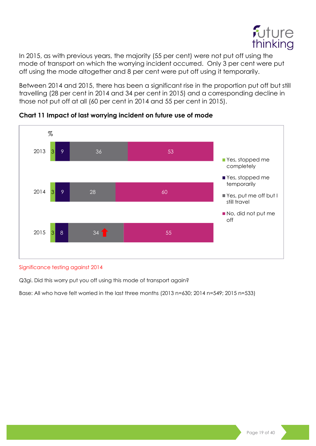

In 2015, as with previous years, the majority (55 per cent) were not put off using the mode of transport on which the worrying incident occurred. Only 3 per cent were put off using the mode altogether and 8 per cent were put off using it temporarily.

Between 2014 and 2015, there has been a significant rise in the proportion put off but still travelling (28 per cent in 2014 and 34 per cent in 2015) and a corresponding decline in those not put off at all (60 per cent in 2014 and 55 per cent in 2015).



#### **Chart 11 Impact of last worrying incident on future use of mode**

#### Significance testing against 2014

Q3gi. Did this worry put you off using this mode of transport again?

Base: All who have felt worried in the last three months (2013 n=630; 2014 n=549; 2015 n=533)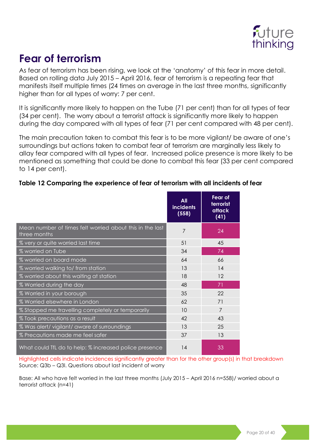

### <span id="page-19-0"></span>**Fear of terrorism**

As fear of terrorism has been rising, we look at the 'anatomy' of this fear in more detail. Based on rolling data July 2015 – April 2016, fear of terrorism is a repeating fear that manifests itself multiple times (24 times on average in the last three months, significantly higher than for all types of worry: 7 per cent.

It is significantly more likely to happen on the Tube (71 per cent) than for all types of fear (34 per cent). The worry about a terrorist attack is significantly more likely to happen during the day compared with all types of fear (71 per cent compared with 48 per cent).

The main precaution taken to combat this fear is to be more vigilant/ be aware of one's surroundings but actions taken to combat fear of terrorism are marginally less likely to allay fear compared with all types of fear. Increased police presence is more likely to be mentioned as something that could be done to combat this fear (33 per cent compared to 14 per cent).

#### **Table 12 Comparing the experience of fear of terrorism with all incidents of fear**

|                                                                          | All<br><b>incidents</b><br>(558) | Fear of<br>terrorist<br>attack<br>(41) |
|--------------------------------------------------------------------------|----------------------------------|----------------------------------------|
| Mean number of times felt worried about this in the last<br>three months | 7                                | 24                                     |
| % very or quite worried last time                                        | 51                               | 45                                     |
| % worried on Tube                                                        | 34                               | 74                                     |
| % worried on board mode                                                  | 64                               | 66                                     |
| % worried walking to/from station                                        | 13                               | 14                                     |
| % worried about this waiting at station                                  | 18                               | 12                                     |
| % Worried during the day                                                 | 48                               | 71                                     |
| % Worried in your borough                                                | 35                               | 22                                     |
| % Worried elsewhere in London                                            | 62                               | 71                                     |
| % Stopped me travelling completely or temporarily                        | 10                               | 7                                      |
| % Took precautions as a result                                           | 42                               | 43                                     |
| % Was alert/vigilant/aware of surroundings                               | 13                               | 25                                     |
| % Precautions made me feel safer                                         | 37                               | 13                                     |
| What could TfL do to help: % increased police presence                   | 14                               | 33                                     |

Highlighted cells indicate incidences significantly greater than for the other group(s) in that breakdown Source: Q3b – Q3l. Questions about last incident of worry

Base: All who have felt worried in the last three months (July 2015 – April 2016 n=558)/ worried about a terrorist attack (n=41)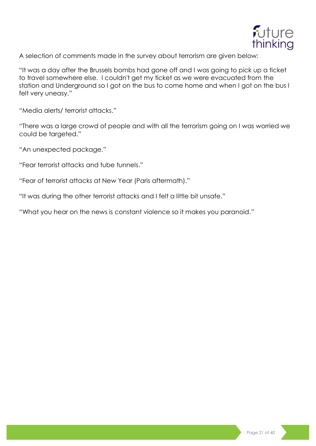

A selection of comments made in the survey about terrorism are given below:

"It was a day after the Brussels bombs had gone off and I was going to pick up a ticket to travel somewhere else. I couldn't get my ticket as we were evacuated from the station and Underground so I got on the bus to come home and when I got on the bus I felt very uneasy."

"Media alerts/ terrorist attacks."

"There was a large crowd of people and with all the terrorism going on I was worried we could be targeted."

"An unexpected package."

"Fear terrorist attacks and tube tunnels."

"Fear of terrorist attacks at New Year (Paris aftermath)."

"It was during the other terrorist attacks and I felt a little bit unsafe."

"What you hear on the news is constant violence so it makes you paranoid."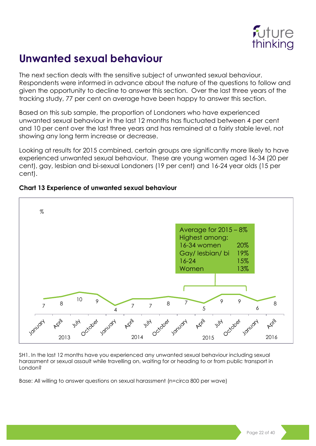

### <span id="page-21-0"></span>**Unwanted sexual behaviour**

The next section deals with the sensitive subject of unwanted sexual behaviour. Respondents were informed in advance about the nature of the questions to follow and given the opportunity to decline to answer this section. Over the last three years of the tracking study, 77 per cent on average have been happy to answer this section.

Based on this sub sample, the proportion of Londoners who have experienced unwanted sexual behaviour in the last 12 months has fluctuated between 4 per cent and 10 per cent over the last three years and has remained at a fairly stable level, not showing any long term increase or decrease.

Looking at results for 2015 combined, certain groups are significantly more likely to have experienced unwanted sexual behaviour. These are young women aged 16-34 (20 per cent), gay, lesbian and bi-sexual Londoners (19 per cent) and 16-24 year olds (15 per cent).



#### **Chart 13 Experience of unwanted sexual behaviour**

SH1. In the last 12 months have you experienced any unwanted sexual behaviour including sexual harassment or sexual assault while travelling on, waiting for or heading to or from public transport in London?

Base: All willing to answer questions on sexual harassment (n=circa 800 per wave)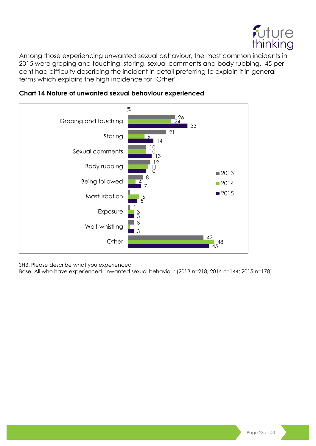

Among those experiencing unwanted sexual behaviour, the most common incidents in were groping and touching, staring, sexual comments and body rubbing. 45 per cent had difficulty describing the incident in detail preferring to explain it in general terms which explains the high incidence for 'Other'.





SH3. Please describe what you experienced

Base: All who have experienced unwanted sexual behaviour (2013 n=218; 2014 n=144; 2015 n=178)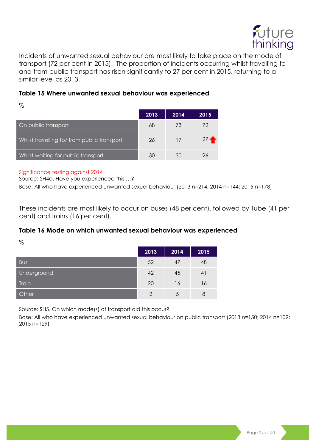

Incidents of unwanted sexual behaviour are most likely to take place on the mode of transport (72 per cent in 2015). The proportion of incidents occurring whilst travelling to and from public transport has risen significantly to 27 per cent in 2015, returning to a similar level as 2013.

#### **Table 15 Where unwanted sexual behaviour was experienced**

 $\%$ 

|                                             | 2013 | 2014 | 2015   |
|---------------------------------------------|------|------|--------|
| On public transport                         | 68   | 73   | 72     |
| Whilst travelling to/ from public transport | 26   | 17   | $27 -$ |
| Whilst waiting for public transport         | 30   | 30   | 26     |

#### Significance testing against 2014

Source: SH4a. Have you experienced this …?

Base: All who have experienced unwanted sexual behaviour (2013 n=214; 2014 n=144; 2015 n=178)

These incidents are most likely to occur on buses (48 per cent), followed by Tube (41 per cent) and trains (16 per cent).

#### **Table 16 Mode on which unwanted sexual behaviour was experienced**

 $\%$ 

|              | 2013          | 2014 | 2015 |
|--------------|---------------|------|------|
| <b>Bus</b>   | 52            | 47   | 48   |
| Underground  | 42            | 45   | 41   |
| <b>Train</b> | 20            | 16   | 16   |
| Other        | $\mathcal{P}$ | 5    | 8    |

Source: SH5. On which mode(s) of transport did this occur?

Base: All who have experienced unwanted sexual behaviour on public transport (2013 n=150; 2014 n=109; 2015 n=129)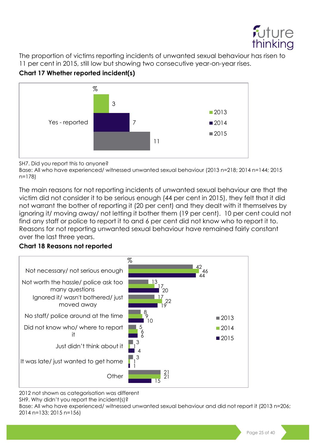

The proportion of victims reporting incidents of unwanted sexual behaviour has risen to 11 per cent in 2015, still low but showing two consecutive year-on-year rises.





SH7. Did you report this to anyone?

Base: All who have experienced/ witnessed unwanted sexual behaviour (2013 n=218; 2014 n=144; 2015 n=178)

The main reasons for not reporting incidents of unwanted sexual behaviour are that the victim did not consider it to be serious enough (44 per cent in 2015), they felt that it did not warrant the bother of reporting it (20 per cent) and they dealt with it themselves by ignoring it/ moving away/ not letting it bother them (19 per cent). 10 per cent could not find any staff or police to report it to and 6 per cent did not know who to report it to. Reasons for not reporting unwanted sexual behaviour have remained fairly constant over the last three years.

#### **Chart 18 Reasons not reported**



2012 not shown as categorisation was different SH9. Why didn't you report the incident(s)?

Base: All who have experienced/ witnessed unwanted sexual behaviour and did not report it (2013 n=206; 2014 n=133; 2015 n=156)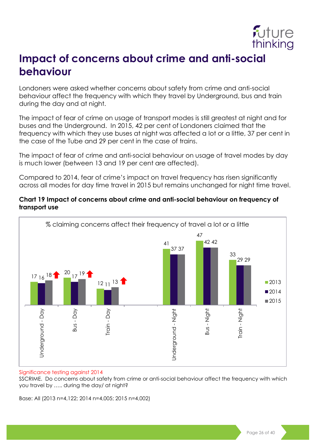

### <span id="page-25-0"></span>**Impact of concerns about crime and anti-social behaviour**

Londoners were asked whether concerns about safety from crime and anti-social behaviour affect the frequency with which they travel by Underground, bus and train during the day and at night.

The impact of fear of crime on usage of transport modes is still greatest at night and for buses and the Underground. In 2015, 42 per cent of Londoners claimed that the frequency with which they use buses at night was affected a lot or a little, 37 per cent in the case of the Tube and 29 per cent in the case of trains.

The impact of fear of crime and anti-social behaviour on usage of travel modes by day is much lower (between 13 and 19 per cent are affected).

Compared to 2014, fear of crime's impact on travel frequency has risen significantly across all modes for day time travel in 2015 but remains unchanged for night time travel.

#### **Chart 19 Impact of concerns about crime and anti-social behaviour on frequency of transport use**



#### Significance testing against 2014

SSCRIME. Do concerns about safety from crime or anti-social behaviour affect the frequency with which you travel by ….. during the day/ at night?

Base: All (2013 n=4,122; 2014 n=4,005; 2015 n=4,002)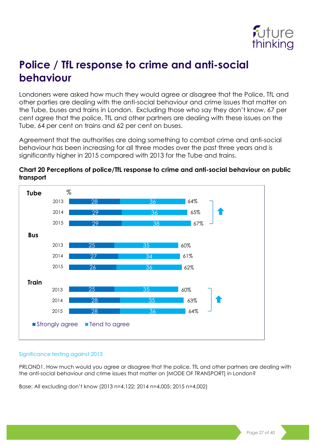

### <span id="page-26-0"></span>**Police / TfL response to crime and anti-social behaviour**

Londoners were asked how much they would agree or disagree that the Police, TfL and other parties are dealing with the anti-social behaviour and crime issues that matter on the Tube, buses and trains in London. Excluding those who say they don't know, 67 per cent agree that the police, TfL and other partners are dealing with these issues on the Tube, 64 per cent on trains and 62 per cent on buses.

Agreement that the authorities are doing something to combat crime and anti-social behaviour has been increasing for all three modes over the past three years and is significantly higher in 2015 compared with 2013 for the Tube and trains.



#### **Chart 20 Perceptions of police/TfL response to crime and anti-social behaviour on public transport**

#### Significance testing against 2013

PRLOND1. How much would you agree or disagree that the police, TfL and other partners are dealing with the anti-social behaviour and crime issues that matter on [MODE OF TRANSPORT] in London?

Base: All excluding don't know (2013 n=4,122; 2014 n=4,005; 2015 n=4,002)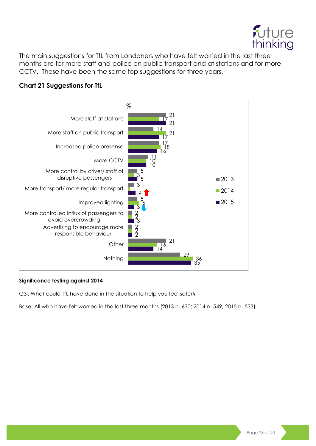

The main suggestions for TfL from Londoners who have felt worried in the last three months are for more staff and police on public transport and at stations and for more CCTV. These have been the same top suggestions for three years.

#### **Chart 21 Suggestions for TfL**



#### **Significance testing against 2014**

Q3l. What could TfL have done in the situation to help you feel safer?

Base: All who have felt worried in the last three months (2013 n=630; 2014 n=549; 2015 n=533)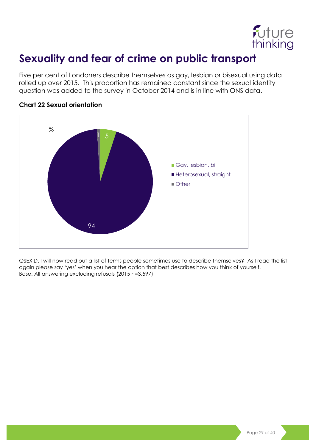

### <span id="page-28-0"></span>**Sexuality and fear of crime on public transport**

Five per cent of Londoners describe themselves as gay, lesbian or bisexual using data rolled up over 2015. This proportion has remained constant since the sexual identity question was added to the survey in October 2014 and is in line with ONS data.



#### **Chart 22 Sexual orientation**

QSEXID. I will now read out a list of terms people sometimes use to describe themselves? As I read the list again please say 'yes' when you hear the option that best describes how you think of yourself. Base: All answering excluding refusals (2015 n=3,597)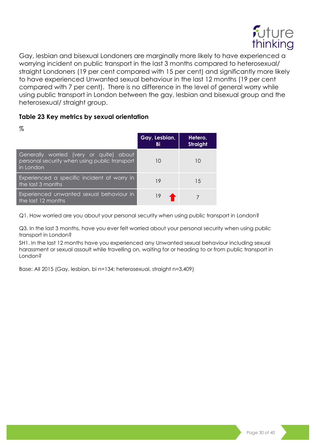

Gay, lesbian and bisexual Londoners are marginally more likely to have experienced a worrying incident on public transport in the last 3 months compared to heterosexual/ straight Londoners (19 per cent compared with 15 per cent) and significantly more likely to have experienced Unwanted sexual behaviour in the last 12 months (19 per cent compared with 7 per cent). There is no difference in the level of general worry while using public transport in London between the gay, lesbian and bisexual group and the heterosexual/ straight group.

#### **Table 23 Key metrics by sexual orientation**

| %                                                                                                     |                     |                            |
|-------------------------------------------------------------------------------------------------------|---------------------|----------------------------|
|                                                                                                       | Gay, Lesbian,<br>Bi | Hetero,<br><b>Straight</b> |
| Generally worried (very or quite) about<br>personal security when using public transport<br>in London | 10                  | 10                         |
| Experienced a specific incident of worry in<br>the last 3 months                                      | 19                  | 15                         |
| Experienced unwanted sexual behaviour in<br>the last 12 months                                        | 19                  |                            |

Q1. How worried are you about your personal security when using public transport in London?

Q3. In the last 3 months, have you ever felt worried about your personal security when using public transport in London?

SH1. In the last 12 months have you experienced any Unwanted sexual behaviour including sexual harassment or sexual assault while travelling on, waiting for or heading to or from public transport in London?

Base: All 2015 (Gay, lesbian, bi n=134; heterosexual, straight n=3,409)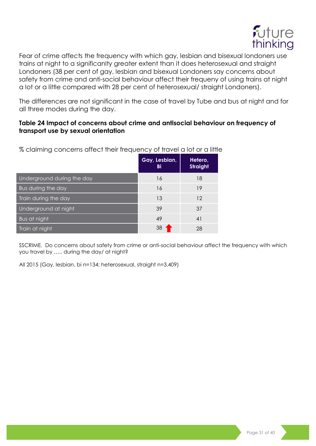

Fear of crime affects the frequency with which gay, lesbian and bisexual londoners use trains at night to a significanlty greater extent than it does heterosexual and straight Londoners (38 per cent of gay, lesbian and bisexual Londoners say concerns about safety from crime and anti-social behaviour affect their frequeny of using trains at night a lot or a little compared with 28 per cent of heterosexual/ straight Londoners).

The differences are not significant in the case of travel by Tube and bus at night and for all three modes during the day.

#### **Table 24 Impact of concerns about crime and antisocial behaviour on frequency of transport use by sexual orientation**

|                            | Gay, Lesbian,<br>Bi | Hetero,<br><b>Straight</b> |
|----------------------------|---------------------|----------------------------|
| Underground during the day | 16                  | 18                         |
| <b>Bus during the day</b>  | 16                  | 19                         |
| Train during the day       | 13                  | 12                         |
| Underground at night       | 39                  | 37                         |
| Bus at night               | 49                  | 41                         |
| Train at night             | 38                  | 28                         |

% claiming concerns affect their frequency of travel a lot or a little

SSCRIME. Do concerns about safety from crime or anti-social behaviour affect the frequency with which you travel by ….. during the day/ at night?

All 2015 (Gay, lesbian, bi n=134; heterosexual, straight n=3,409)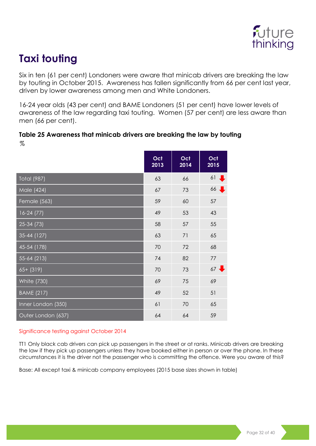

### <span id="page-31-0"></span>**Taxi touting**

Six in ten (61 per cent) Londoners were aware that minicab drivers are breaking the law by touting in October 2015. Awareness has fallen significantly from 66 per cent last year, driven by lower awareness among men and White Londoners.

16-24 year olds (43 per cent) and BAME Londoners (51 per cent) have lower levels of awareness of the law regarding taxi touting. Women (57 per cent) are less aware than men (66 per cent).

#### **Table 25 Awareness that minicab drivers are breaking the law by touting**  $\%$

|                    | Oct<br>2013 | Oct<br>$\overline{2014}$ | Oct<br>2015      |
|--------------------|-------------|--------------------------|------------------|
| <b>Total (987)</b> | 63          | 66                       | 61               |
| Male (424)         | 67          | 73                       | $66$ ,           |
| Female (563)       | 59          | 60                       | 57               |
| $16-24(77)$        | 49          | 53                       | 43               |
| $25-34(73)$        | 58          | 57                       | 55               |
| 35-44 (127)        | 63          | 71                       | 65               |
| 45-54 (178)        | 70          | 72                       | 68               |
| 55-64 (213)        | 74          | 82                       | 77               |
| $65+ (319)$        | 70          | 73                       | $67 \frac{1}{2}$ |
| <b>White (730)</b> | 69          | 75                       | 69               |
| <b>BAME (217)</b>  | 49          | 52                       | 51               |
| Inner London (350) | 61          | 70                       | 65               |
| Outer London (637) | 64          | 64                       | 59               |

#### Significance testing against October 2014

TT1 Only black cab drivers can pick up passengers in the street or at ranks. Minicab drivers are breaking the law if they pick up passengers unless they have booked either in person or over the phone. In these circumstances it is the driver not the passenger who is committing the offence. Were you aware of this?

Base: All except taxi & minicab company employees (2015 base sizes shown in table)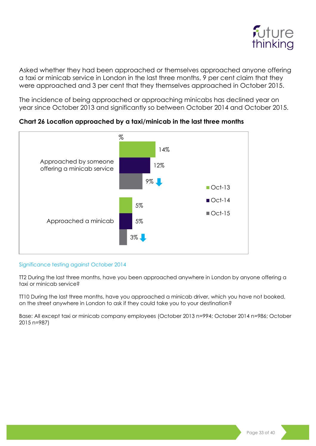

Asked whether they had been approached or themselves approached anyone offering a taxi or minicab service in London in the last three months, 9 per cent claim that they were approached and 3 per cent that they themselves approached in October 2015.

The incidence of being approached or approaching minicabs has declined year on year since October 2013 and significantly so between October 2014 and October 2015.



**Chart 26 Location approached by a taxi/minicab in the last three months**

#### Significance testing against October 2014

TT2 During the last three months, have you been approached anywhere in London by anyone offering a taxi or minicab service?

TT10 During the last three months, have you approached a minicab driver, which you have not booked, on the street anywhere in London to ask if they could take you to your destination?

Base: All except taxi or minicab company employees (October 2013 n=994; October 2014 n=986; October 2015 n=987)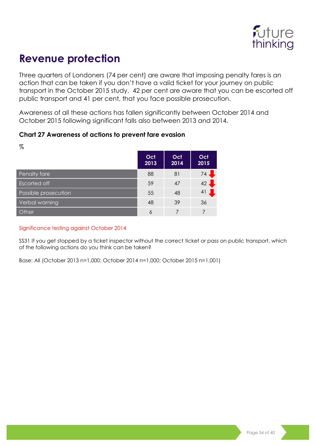

### <span id="page-33-0"></span>**Revenue protection**

Three quarters of Londoners (74 per cent) are aware that imposing penalty fares is an action that can be taken if you don't have a valid ticket for your journey on public transport in the October 2015 study. 42 per cent are aware that you can be escorted off public transport and 41 per cent, that you face possible prosecution.

Awareness of all these actions has fallen significantly between October 2014 and October 2015 following significant falls also between 2013 and 2014.

#### **Chart 27 Awareness of actions to prevent fare evasion**

| %                    |             |             |             |
|----------------------|-------------|-------------|-------------|
|                      | Oct<br>2013 | Oct<br>2014 | Oct<br>2015 |
| Penalty fare         | 88          | 81          | 74.         |
| <b>Escorted off</b>  | 59          | 47          | 42          |
| Possible prosecution | 55          | 48          | 41          |
| Verbal warning       | 48          | 39          | 36          |
| Other                | 6           |             | 7           |

#### Significance testing against October 2014

SS31 If you get stopped by a ticket inspector without the correct ticket or pass on public transport, which of the following actions do you think can be taken?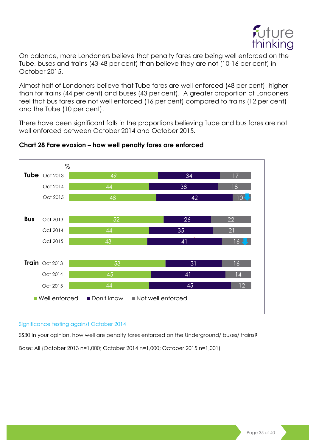

On balance, more Londoners believe that penalty fares are being well enforced on the Tube, buses and trains (43-48 per cent) than believe they are not (10-16 per cent) in October 2015.

Almost half of Londoners believe that Tube fares are well enforced (48 per cent), higher than for trains (44 per cent) and buses (43 per cent). A greater proportion of Londoners feel that bus fares are not well enforced (16 per cent) compared to trains (12 per cent) and the Tube (10 per cent).

There have been significant falls in the proportions believing Tube and bus fares are not well enforced between October 2014 and October 2015.



#### **Chart 28 Fare evasion – how well penalty fares are enforced**

#### Significance testing against October 2014

SS30 In your opinion, how well are penalty fares enforced on the Underground/ buses/ trains?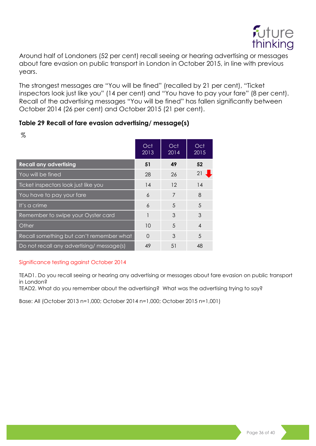

Around half of Londoners (52 per cent) recall seeing or hearing advertising or messages about fare evasion on public transport in London in October 2015, in line with previous years.

The strongest messages are "You will be fined" (recalled by 21 per cent), "Ticket inspectors look just like you" (14 per cent) and "You have to pay your fare" (8 per cent). Recall of the advertising messages "You will be fined" has fallen significantly between October 2014 (26 per cent) and October 2015 (21 per cent).

#### **Table 29 Recall of fare evasion advertising/ message(s)**

| 70                                       |             |             |                |
|------------------------------------------|-------------|-------------|----------------|
|                                          | Oct<br>2013 | Oct<br>2014 | Oct<br>2015    |
| <b>Recall any advertising</b>            | 51          | 49          | 52             |
| You will be fined                        | 28          | 26          | 21             |
| Ticket inspectors look just like you     | 14          | 12          | 14             |
| You have to pay your fare                | 6           | 7           | 8              |
| It's a crime                             | 6           | 5           | 5              |
| Remember to swipe your Oyster card       |             | 3           | 3              |
| Other                                    | 10          | 5           | $\overline{4}$ |
| Recall something but can't remember what | $\Omega$    | 3           | 5              |
| Do not recall any advertising/message(s) | 49          | 51          | 48             |

 $\sim$ 

#### Significance testing against October 2014

TEAD1. Do you recall seeing or hearing any advertising or messages about fare evasion on public transport in London?

TEAD2. What do you remember about the advertising? What was the advertising trying to say?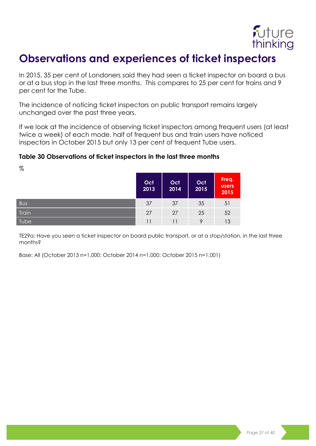

### <span id="page-36-0"></span>**Observations and experiences of ticket inspectors**

In 2015, 35 per cent of Londoners said they had seen a ticket inspector on board a bus or at a bus stop in the last three months. This compares to 25 per cent for trains and 9 per cent for the Tube.

The incidence of noticing ticket inspectors on public transport remains largely unchanged over the past three years.

If we look at the incidence of observing ticket inspectors among frequent users (at least twice a week) of each mode, half of frequent bus and train users have noticed inspectors in October 2015 but only 13 per cent of frequent Tube users.

#### **Table 30 Observations of ticket inspectors in the last three months**

 $\%$ 

|            | Oct<br>2013 | Oct<br>2014 | Oct<br>2015 | Freq.<br><b>users</b><br>2015 |
|------------|-------------|-------------|-------------|-------------------------------|
| <b>Bus</b> | 37          | 37          | 35          | 51                            |
| Train      | 27          | 27          | 25          | 52                            |
| Tube       | 11          |             |             | 13                            |

TE29a: Have you seen a ticket inspector on board public transport, or at a stop/station, in the last three months?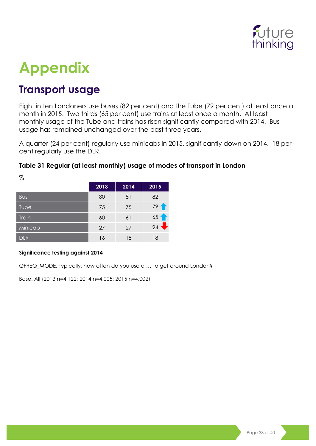

## <span id="page-37-0"></span>**Appendix**

### <span id="page-37-1"></span>**Transport usage**

Eight in ten Londoners use buses (82 per cent) and the Tube (79 per cent) at least once a month in 2015. Two thirds (65 per cent) use trains at least once a month. At least monthly usage of the Tube and trains has risen significantly compared with 2014. Bus usage has remained unchanged over the past three years.

A quarter (24 per cent) regularly use minicabs in 2015, significantly down on 2014. 18 per cent regularly use the DLR.

#### **Table 31 Regular (at least monthly) usage of modes of transport in London**

| 79           |      |      |                 |
|--------------|------|------|-----------------|
|              | 2013 | 2014 | 2015            |
| <b>Bus</b>   | 80   | 81   | 82              |
| Tube         | 75   | 75   | 79              |
| <b>Train</b> | 60   | 61   | 65 <sup>4</sup> |
| Minicab      | 27   | 27   | 24              |
| <b>DLR</b>   | 16   | 18   | 18              |

 $\sigma$ 

#### **Significance testing against 2014**

QFREQ\_MODE. Typically, how often do you use a … to get around London?

Base: All (2013 n=4,122; 2014 n=4,005; 2015 n=4,002)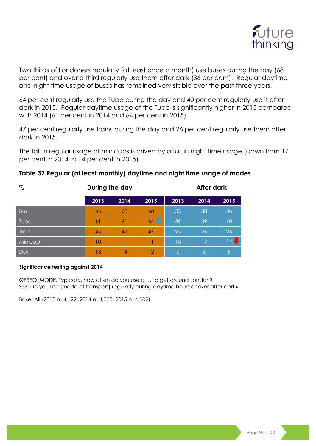

Two thirds of Londoners regularly (at least once a month) use buses during the day (68 per cent) and over a third regularly use them after dark (36 per cent). Regular daytime and night time usage of buses has remained very stable over the past three years.

64 per cent regularly use the Tube during the day and 40 per cent regularly use it after dark in 2015. Regular daytime usage of the Tube is significantly higher in 2015 compared with 2014 (61 per cent in 2014 and 64 per cent in 2015).

47 per cent regularly use trains during the day and 26 per cent regularly use them after dark in 2015.

The fall in regular usage of minicabs is driven by a fall in night time usage (down from 17 per cent in 2014 to 14 per cent in 2015).

| $\%$       | During the day |      |      | <b>After dark</b> |                |        |
|------------|----------------|------|------|-------------------|----------------|--------|
|            | 2013           | 2014 | 2015 | 2013              | 2014           | 2015   |
| <b>Bus</b> | 66             | 68   | 68   | 33                | 38             | 36     |
| Tube       | 6 <sup>1</sup> | 61   | 641  | 39                | 39             | 40     |
| Train      | 45             | 47   | 47   | 25                | 26             | 26     |
| Minicab    | 10             | 11   | 11   | 18                | 17             | $14 -$ |
| <b>DLR</b> | 13             | 14   | 12   | 161               | $\overline{6}$ | 5      |

#### **Table 32 Regular (at least monthly) daytime and night time usage of modes**

#### **Significance testing against 2014**

QFREQ\_MODE. Typically, how often do you use a … to get around London? SS3. Do you use [mode of transport] regularly during daytime hours and/or after dark?

Base: All (2013 n=4,122; 2014 n=4,005; 2015 n=4,002)